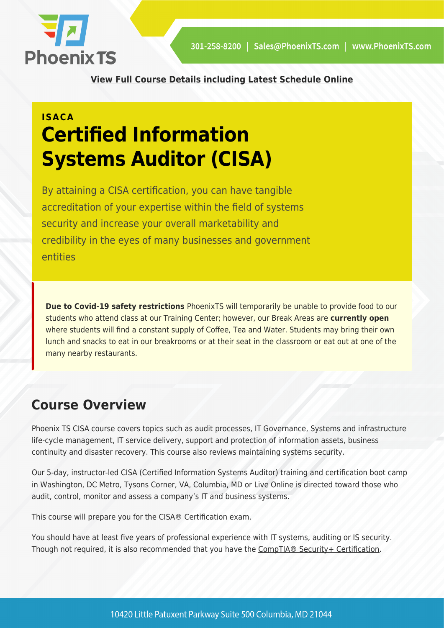

**[View Full Course Details including Latest Schedule Online](https://phoenixts.com/training-courses/cisa-certification-training-dc-baltimore-md-va/)**

## **ISACA Certified Information Systems Auditor (CISA)**

By attaining a CISA certification, you can have tangible accreditation of your expertise within the field of systems security and increase your overall marketability and credibility in the eyes of many businesses and government entities

**Due to Covid-19 safety restrictions** PhoenixTS will temporarily be unable to provide food to our students who attend class at our Training Center; however, our Break Areas are **currently open** where students will find a constant supply of Coffee, Tea and Water. Students may bring their own lunch and snacks to eat in our breakrooms or at their seat in the classroom or eat out at one of the many nearby restaurants.

## **Course Overview**

Phoenix TS CISA course covers topics such as audit processes, IT Governance, Systems and infrastructure life-cycle management, IT service delivery, support and protection of information assets, business continuity and disaster recovery. This course also reviews maintaining systems security.

Our 5-day, instructor-led CISA (Certified Information Systems Auditor) training and certification boot camp in Washington, DC Metro, Tysons Corner, VA, Columbia, MD or Live Online is directed toward those who audit, control, monitor and assess a company's IT and business systems.

This course will prepare you for the CISA® Certification exam.

You should have at least five years of professional experience with IT systems, auditing or IS security. Though not required, it is also recommended that you have the [CompTIA® Security+ Certification.](https://phoenixts.com/training-courses/comptia-security-plus-certification-training/)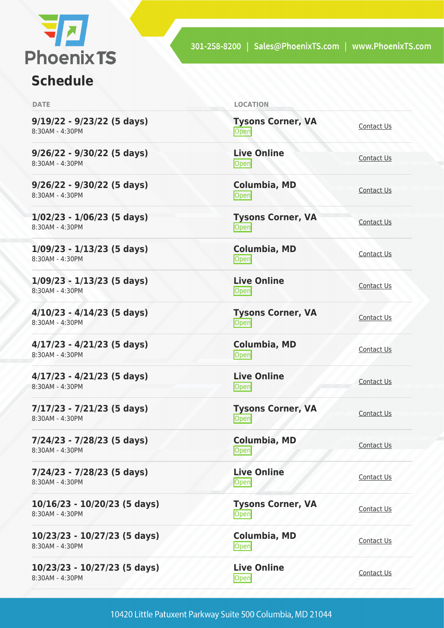

## **Schedule**

| <b>DATE</b>                                     | <b>LOCATION</b>                  |                   |
|-------------------------------------------------|----------------------------------|-------------------|
| 9/19/22 - 9/23/22 (5 days)<br>8:30AM - 4:30PM   | <b>Tysons Corner, VA</b><br>Open | Contact Us        |
| 9/26/22 - 9/30/22 (5 days)<br>8:30AM - 4:30PM   | <b>Live Online</b><br>Open       | Contact Us        |
| 9/26/22 - 9/30/22 (5 days)<br>8:30AM - 4:30PM   | <b>Columbia, MD</b><br>Open      | Contact Us        |
| $1/02/23 - 1/06/23$ (5 days)<br>8:30AM - 4:30PM | <b>Tysons Corner, VA</b><br>Open | Contact Us        |
| $1/09/23 - 1/13/23$ (5 days)<br>8:30AM - 4:30PM | <b>Columbia, MD</b><br>Open      | Contact Us        |
| $1/09/23 - 1/13/23$ (5 days)<br>8:30AM - 4:30PM | <b>Live Online</b><br>Open       | Contact Us        |
| 4/10/23 - 4/14/23 (5 days)<br>8:30AM - 4:30PM   | <b>Tysons Corner, VA</b><br>Open | Contact Us        |
| 4/17/23 - 4/21/23 (5 days)<br>8:30AM - 4:30PM   | Columbia, MD<br>Open             | Contact Us        |
| 4/17/23 - 4/21/23 (5 days)<br>8:30AM - 4:30PM   | <b>Live Online</b><br>Open       | Contact Us        |
| 7/17/23 - 7/21/23 (5 days)<br>8:30AM - 4:30PM   | <b>Tysons Corner, VA</b><br>Open | Contact Us        |
| 7/24/23 - 7/28/23 (5 days)<br>8:30AM - 4:30PM   | Columbia, MD<br>Open             | Contact Us        |
| 7/24/23 - 7/28/23 (5 days)<br>8:30AM - 4:30PM   | <b>Live Online</b><br>Open       | Contact Us        |
| 10/16/23 - 10/20/23 (5 days)<br>8:30AM - 4:30PM | <b>Tysons Corner, VA</b><br>Open | <b>Contact Us</b> |
| 10/23/23 - 10/27/23 (5 days)<br>8:30AM - 4:30PM | <b>Columbia, MD</b><br>Open      | Contact Us        |
| 10/23/23 - 10/27/23 (5 days)<br>8:30AM - 4:30PM | <b>Live Online</b><br>Open       | <b>Contact Us</b> |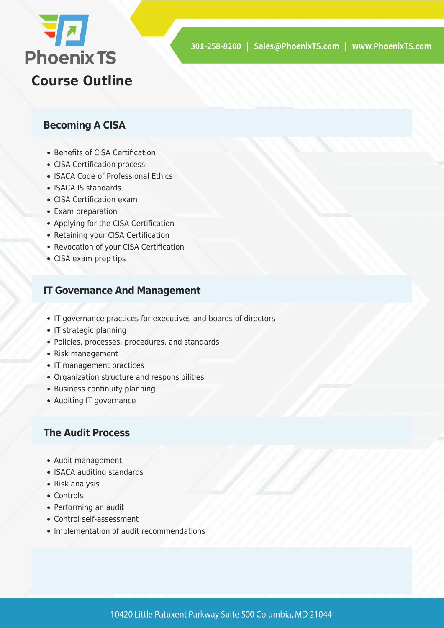

#### **Becoming A CISA**

- Benefits of CISA Certification
- CISA Certification process
- ISACA Code of Professional Ethics
- ISACA IS standards
- CISA Certification exam
- Exam preparation
- Applying for the CISA Certification
- Retaining your CISA Certification
- Revocation of your CISA Certification
- CISA exam prep tips

#### **IT Governance And Management**

- IT governance practices for executives and boards of directors
- IT strategic planning
- Policies, processes, procedures, and standards
- Risk management
- IT management practices
- Organization structure and responsibilities
- Business continuity planning
- Auditing IT governance

#### **The Audit Process**

- Audit management
- ISACA auditing standards
- Risk analysis
- Controls
- Performing an audit
- Control self-assessment
- Implementation of audit recommendations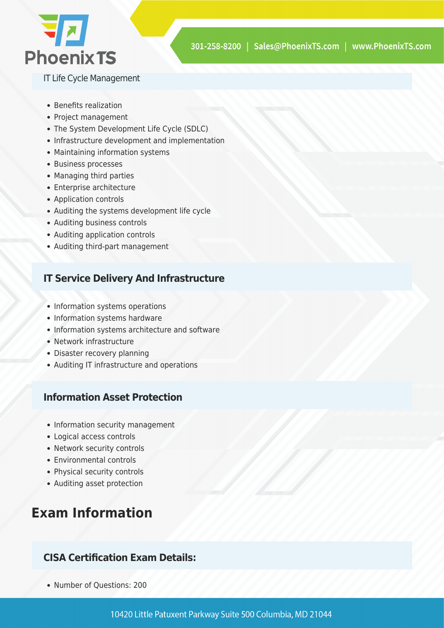

IT Life Cycle Management

- Benefits realization
- Project management
- The System Development Life Cycle (SDLC)
- Infrastructure development and implementation
- Maintaining information systems
- Business processes
- Managing third parties
- Enterprise architecture
- Application controls
- Auditing the systems development life cycle
- Auditing business controls
- Auditing application controls
- Auditing third-part management

#### **IT Service Delivery And Infrastructure**

- Information systems operations
- Information systems hardware
- Information systems architecture and software
- Network infrastructure
- Disaster recovery planning
- Auditing IT infrastructure and operations

#### **Information Asset Protection**

- Information security management
- Logical access controls
- Network security controls
- Environmental controls
- Physical security controls
- Auditing asset protection

## **Exam Information**

#### **CISA Certification Exam Details:**

• Number of Questions: 200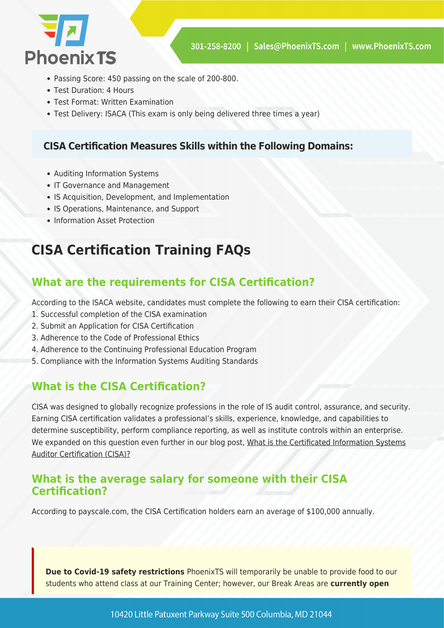

- Passing Score: 450 passing on the scale of 200-800.
- Test Duration: 4 Hours
- Test Format: Written Examination
- Test Delivery: ISACA (This exam is only being delivered three times a year)

#### **CISA Certification Measures Skills within the Following Domains:**

- Auditing Information Systems
- IT Governance and Management
- IS Acquisition, Development, and Implementation
- IS Operations, Maintenance, and Support
- Information Asset Protection

## **CISA Certification Training FAQs**

#### **What are the requirements for CISA Certification?**

According to the ISACA website, candidates must complete the following to earn their CISA certification:

- 1. Successful completion of the CISA examination
- 2. Submit an Application for CISA Certification
- 3. Adherence to the Code of Professional Ethics
- 4. Adherence to the Continuing Professional Education Program
- 5. Compliance with the Information Systems Auditing Standards

#### **What is the CISA Certification?**

CISA was designed to globally recognize professions in the role of IS audit control, assurance, and security. Earning CISA certification validates a professional's skills, experience, knowledge, and capabilities to determine susceptibility, perform compliance reporting, as well as institute controls within an enterprise. We expanded on this question even further in our blog post, [What is the Certificated Information Systems](https://phoenixts.com/2018/02/08/what-is-certified-information-systems-auditor-cert/) [Auditor Certification \(CISA\)?](https://phoenixts.com/2018/02/08/what-is-certified-information-systems-auditor-cert/)

#### **What is the average salary for someone with their CISA Certification?**

According to payscale.com, the CISA Certification holders earn an average of \$100,000 annually.

**Due to Covid-19 safety restrictions** PhoenixTS will temporarily be unable to provide food to our students who attend class at our Training Center; however, our Break Areas are **currently open**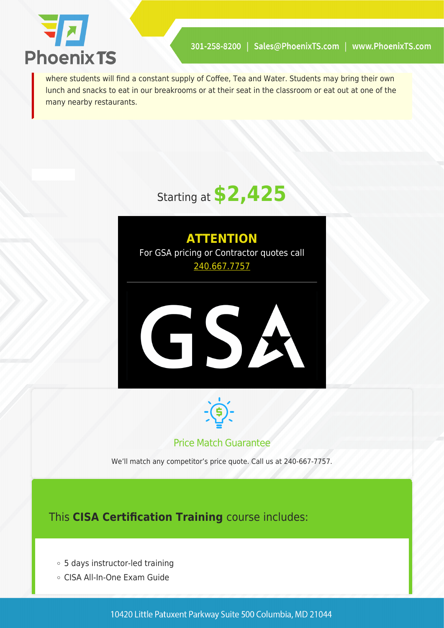

where students will find a constant supply of Coffee, Tea and Water. Students may bring their own lunch and snacks to eat in our breakrooms or at their seat in the classroom or eat out at one of the many nearby restaurants.

## Starting at **\$2,425**

### **ATTENTION** For GSA pricing or Contractor quotes call [240.667.7757](#page--1-0)





#### Price Match Guarantee

We'll match any competitor's price quote. Call us at 240-667-7757.

This **CISA Certification Training** course includes:

- 5 days instructor-led training
- CISA All-In-One Exam Guide